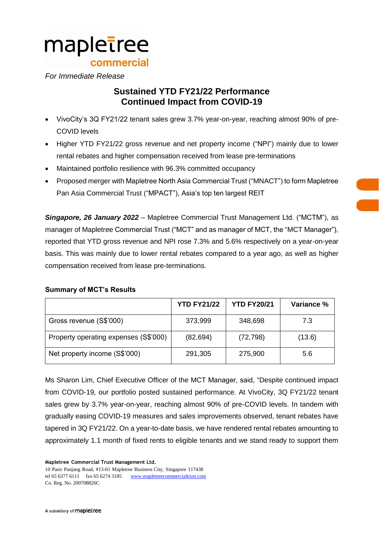# mapletree commercial

## *For Immediate Release*

## **Sustained YTD FY21/22 Performance Continued Impact from COVID-19**

- VivoCity's 3Q FY21/22 tenant sales grew 3.7% year-on-year, reaching almost 90% of pre-COVID levels
- Higher YTD FY21/22 gross revenue and net property income ("NPI") mainly due to lower rental rebates and higher compensation received from lease pre-terminations
- Maintained portfolio resilience with 96.3% committed occupancy
- Proposed merger with Mapletree North Asia Commercial Trust ("MNACT") to form Mapletree Pan Asia Commercial Trust ("MPACT"), Asia's top ten largest REIT

*Singapore, 26 January 2022* – Mapletree Commercial Trust Management Ltd. ("MCTM"), as manager of Mapletree Commercial Trust ("MCT" and as manager of MCT, the "MCT Manager"), reported that YTD gross revenue and NPI rose 7.3% and 5.6% respectively on a year-on-year basis. This was mainly due to lower rental rebates compared to a year ago, as well as higher compensation received from lease pre-terminations.

## **Summary of MCT's Results**

|                                       | <b>YTD FY21/22</b> | <b>YTD FY20/21</b> | Variance % |
|---------------------------------------|--------------------|--------------------|------------|
| Gross revenue (S\$'000)               | 373,999            | 348,698            | 7.3        |
| Property operating expenses (S\$'000) | (82, 694)          | (72, 798)          | (13.6)     |
| Net property income (S\$'000)         | 291,305            | 275,900            | 5.6        |

Ms Sharon Lim, Chief Executive Officer of the MCT Manager, said, "Despite continued impact from COVID-19, our portfolio posted sustained performance. At VivoCity, 3Q FY21/22 tenant sales grew by 3.7% year-on-year, reaching almost 90% of pre-COVID levels. In tandem with gradually easing COVID-19 measures and sales improvements observed, tenant rebates have tapered in 3Q FY21/22. On a year-to-date basis, we have rendered rental rebates amounting to approximately 1.1 month of fixed rents to eligible tenants and we stand ready to support them

**Mapletree Commercial Trust Management Ltd.**

10 Pasir Panjang Road, #13-01 Mapletree Business City, Singapore 117438 tel 65 6377 6111 fax 65 6274 3185 [www.mapletreecommercialtrust.com](http://www.mapletree.com.sg/) Co. Reg. No. 200708826C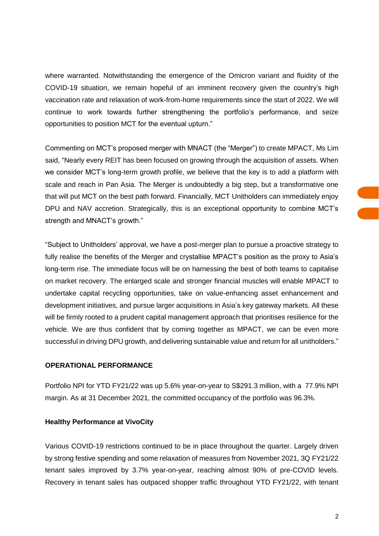where warranted. Notwithstanding the emergence of the Omicron variant and fluidity of the COVID-19 situation, we remain hopeful of an imminent recovery given the country's high vaccination rate and relaxation of work-from-home requirements since the start of 2022. We will continue to work towards further strengthening the portfolio's performance, and seize opportunities to position MCT for the eventual upturn."

Commenting on MCT's proposed merger with MNACT (the "Merger") to create MPACT, Ms Lim said, "Nearly every REIT has been focused on growing through the acquisition of assets. When we consider MCT's long-term growth profile, we believe that the key is to add a platform with scale and reach in Pan Asia. The Merger is undoubtedly a big step, but a transformative one that will put MCT on the best path forward. Financially, MCT Unitholders can immediately enjoy DPU and NAV accretion. Strategically, this is an exceptional opportunity to combine MCT's strength and MNACT's growth."

"Subject to Unitholders' approval, we have a post-merger plan to pursue a proactive strategy to fully realise the benefits of the Merger and crystallise MPACT's position as the proxy to Asia's long-term rise. The immediate focus will be on harnessing the best of both teams to capitalise on market recovery. The enlarged scale and stronger financial muscles will enable MPACT to undertake capital recycling opportunities, take on value-enhancing asset enhancement and development initiatives, and pursue larger acquisitions in Asia's key gateway markets. All these will be firmly rooted to a prudent capital management approach that prioritises resilience for the vehicle. We are thus confident that by coming together as MPACT, we can be even more successful in driving DPU growth, and delivering sustainable value and return for all unitholders."

#### **OPERATIONAL PERFORMANCE**

Portfolio NPI for YTD FY21/22 was up 5.6% year-on-year to S\$291.3 million, with a 77.9% NPI margin. As at 31 December 2021, the committed occupancy of the portfolio was 96.3%.

## **Healthy Performance at VivoCity**

Various COVID-19 restrictions continued to be in place throughout the quarter. Largely driven by strong festive spending and some relaxation of measures from November 2021, 3Q FY21/22 tenant sales improved by 3.7% year-on-year, reaching almost 90% of pre-COVID levels. Recovery in tenant sales has outpaced shopper traffic throughout YTD FY21/22, with tenant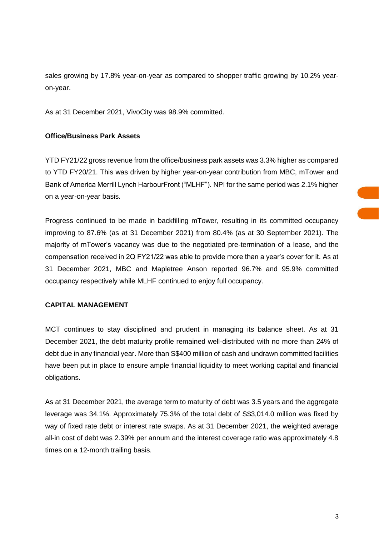sales growing by 17.8% year-on-year as compared to shopper traffic growing by 10.2% yearon-year.

As at 31 December 2021, VivoCity was 98.9% committed.

## **Office/Business Park Assets**

YTD FY21/22 gross revenue from the office/business park assets was 3.3% higher as compared to YTD FY20/21. This was driven by higher year-on-year contribution from MBC, mTower and Bank of America Merrill Lynch HarbourFront ("MLHF"). NPI for the same period was 2.1% higher on a year-on-year basis.

Progress continued to be made in backfilling mTower, resulting in its committed occupancy improving to 87.6% (as at 31 December 2021) from 80.4% (as at 30 September 2021). The majority of mTower's vacancy was due to the negotiated pre-termination of a lease, and the compensation received in 2Q FY21/22 was able to provide more than a year's cover for it. As at 31 December 2021, MBC and Mapletree Anson reported 96.7% and 95.9% committed occupancy respectively while MLHF continued to enjoy full occupancy.

### **CAPITAL MANAGEMENT**

MCT continues to stay disciplined and prudent in managing its balance sheet. As at 31 December 2021, the debt maturity profile remained well-distributed with no more than 24% of debt due in any financial year. More than S\$400 million of cash and undrawn committed facilities have been put in place to ensure ample financial liquidity to meet working capital and financial obligations.

As at 31 December 2021, the average term to maturity of debt was 3.5 years and the aggregate leverage was 34.1%. Approximately 75.3% of the total debt of S\$3,014.0 million was fixed by way of fixed rate debt or interest rate swaps. As at 31 December 2021, the weighted average all-in cost of debt was 2.39% per annum and the interest coverage ratio was approximately 4.8 times on a 12-month trailing basis.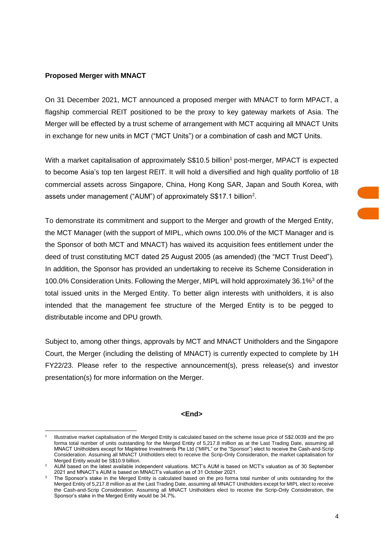#### **Proposed Merger with MNACT**

 $\overline{a}$ 

On 31 December 2021, MCT announced a proposed merger with MNACT to form MPACT, a flagship commercial REIT positioned to be the proxy to key gateway markets of Asia. The Merger will be effected by a trust scheme of arrangement with MCT acquiring all MNACT Units in exchange for new units in MCT ("MCT Units") or a combination of cash and MCT Units.

With a market capitalisation of approximately  $S$10.5$  billion<sup>1</sup> post-merger, MPACT is expected to become Asia's top ten largest REIT. It will hold a diversified and high quality portfolio of 18 commercial assets across Singapore, China, Hong Kong SAR, Japan and South Korea, with assets under management ("AUM") of approximately S\$17.1 billion<sup>2</sup>.

To demonstrate its commitment and support to the Merger and growth of the Merged Entity, the MCT Manager (with the support of MIPL, which owns 100.0% of the MCT Manager and is the Sponsor of both MCT and MNACT) has waived its acquisition fees entitlement under the deed of trust constituting MCT dated 25 August 2005 (as amended) (the "MCT Trust Deed"). In addition, the Sponsor has provided an undertaking to receive its Scheme Consideration in 100.0% Consideration Units. Following the Merger, MIPL will hold approximately 36.1%<sup>3</sup> of the total issued units in the Merged Entity. To better align interests with unitholders, it is also intended that the management fee structure of the Merged Entity is to be pegged to distributable income and DPU growth.

Subject to, among other things, approvals by MCT and MNACT Unitholders and the Singapore Court, the Merger (including the delisting of MNACT) is currently expected to complete by 1H FY22/23. Please refer to the respective announcement(s), press release(s) and investor presentation(s) for more information on the Merger.

#### **<End>**

<sup>1</sup> Illustrative market capitalisation of the Merged Entity is calculated based on the scheme issue price of S\$2.0039 and the pro forma total number of units outstanding for the Merged Entity of 5,217.8 million as at the Last Trading Date, assuming all MNACT Unitholders except for Mapletree Investments Pte Ltd ("MIPL" or the "Sponsor") elect to receive the Cash-and-Scrip Consideration. Assuming all MNACT Unitholders elect to receive the Scrip-Only Consideration, the market capitalisation for Merged Entity would be S\$10.9 billion.

<sup>2</sup> AUM based on the latest available independent valuations. MCT's AUM is based on MCT's valuation as of 30 September 2021 and MNACT's AUM is based on MNACT's valuation as of 31 October 2021.

The Sponsor's stake in the Merged Entity is calculated based on the pro forma total number of units outstanding for the Merged Entity of 5,217.8 million as at the Last Trading Date, assuming all MNACT Unitholders except for MIPL elect to receive the Cash-and-Scrip Consideration. Assuming all MNACT Unitholders elect to receive the Scrip-Only Consideration, the Sponsor's stake in the Merged Entity would be 34.7%.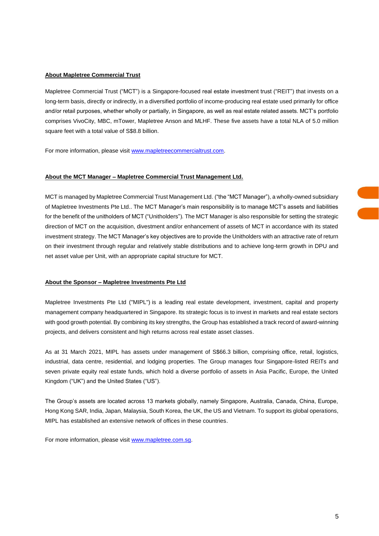#### **About Mapletree Commercial Trust**

Mapletree Commercial Trust ("MCT") is a Singapore-focused real estate investment trust ("REIT") that invests on a long-term basis, directly or indirectly, in a diversified portfolio of income-producing real estate used primarily for office and/or retail purposes, whether wholly or partially, in Singapore, as well as real estate related assets. MCT's portfolio comprises VivoCity, MBC, mTower, Mapletree Anson and MLHF. These five assets have a total NLA of 5.0 million square feet with a total value of S\$8.8 billion.

For more information, please visit [www.mapletreecommercialtrust.com.](http://www.mapletreecommercialtrust.com/)

#### **About the MCT Manager – Mapletree Commercial Trust Management Ltd.**

MCT is managed by Mapletree Commercial Trust Management Ltd. ("the "MCT Manager"), a wholly-owned subsidiary of Mapletree Investments Pte Ltd.. The MCT Manager's main responsibility is to manage MCT's assets and liabilities for the benefit of the unitholders of MCT ("Unitholders"). The MCT Manager is also responsible for setting the strategic direction of MCT on the acquisition, divestment and/or enhancement of assets of MCT in accordance with its stated investment strategy. The MCT Manager's key objectives are to provide the Unitholders with an attractive rate of return on their investment through regular and relatively stable distributions and to achieve long-term growth in DPU and net asset value per Unit, with an appropriate capital structure for MCT.

#### **About the Sponsor – Mapletree Investments Pte Ltd**

Mapletree Investments Pte Ltd ("MIPL") is a leading real estate development, investment, capital and property management company headquartered in Singapore. Its strategic focus is to invest in markets and real estate sectors with good growth potential. By combining its key strengths, the Group has established a track record of award-winning projects, and delivers consistent and high returns across real estate asset classes.

As at 31 March 2021, MIPL has assets under management of S\$66.3 billion, comprising office, retail, logistics, industrial, data centre, residential, and lodging properties. The Group manages four Singapore-listed REITs and seven private equity real estate funds, which hold a diverse portfolio of assets in Asia Pacific, Europe, the United Kingdom ("UK") and the United States ("US").

The Group's assets are located across 13 markets globally, namely Singapore, Australia, Canada, China, Europe, Hong Kong SAR, India, Japan, Malaysia, South Korea, the UK, the US and Vietnam. To support its global operations, MIPL has established an extensive network of offices in these countries.

For more information, please visit [www.mapletree.com.sg.](http://www.mapletree.com.sg/)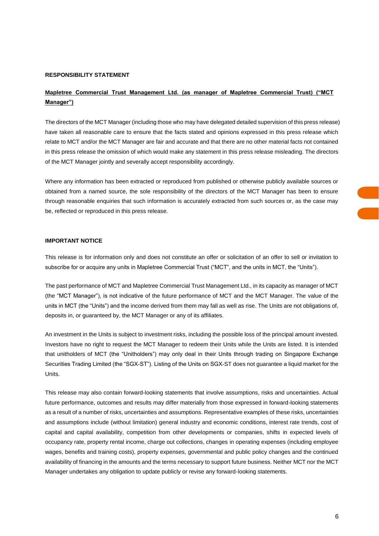#### **RESPONSIBILITY STATEMENT**

## **Mapletree Commercial Trust Management Ltd. (as manager of Mapletree Commercial Trust) ("MCT Manager")**

The directors of the MCT Manager (including those who may have delegated detailed supervision of this press release) have taken all reasonable care to ensure that the facts stated and opinions expressed in this press release which relate to MCT and/or the MCT Manager are fair and accurate and that there are no other material facts not contained in this press release the omission of which would make any statement in this press release misleading. The directors of the MCT Manager jointly and severally accept responsibility accordingly.

Where any information has been extracted or reproduced from published or otherwise publicly available sources or obtained from a named source, the sole responsibility of the directors of the MCT Manager has been to ensure through reasonable enquiries that such information is accurately extracted from such sources or, as the case may be, reflected or reproduced in this press release.

#### **IMPORTANT NOTICE**

This release is for information only and does not constitute an offer or solicitation of an offer to sell or invitation to subscribe for or acquire any units in Mapletree Commercial Trust ("MCT", and the units in MCT, the "Units").

The past performance of MCT and Mapletree Commercial Trust Management Ltd., in its capacity as manager of MCT (the "MCT Manager"), is not indicative of the future performance of MCT and the MCT Manager. The value of the units in MCT (the "Units") and the income derived from them may fall as well as rise. The Units are not obligations of, deposits in, or guaranteed by, the MCT Manager or any of its affiliates.

An investment in the Units is subject to investment risks, including the possible loss of the principal amount invested. Investors have no right to request the MCT Manager to redeem their Units while the Units are listed. It is intended that unitholders of MCT (the "Unitholders") may only deal in their Units through trading on Singapore Exchange Securities Trading Limited (the "SGX-ST"). Listing of the Units on SGX-ST does not guarantee a liquid market for the Units.

This release may also contain forward-looking statements that involve assumptions, risks and uncertainties. Actual future performance, outcomes and results may differ materially from those expressed in forward-looking statements as a result of a number of risks, uncertainties and assumptions. Representative examples of these risks, uncertainties and assumptions include (without limitation) general industry and economic conditions, interest rate trends, cost of capital and capital availability, competition from other developments or companies, shifts in expected levels of occupancy rate, property rental income, charge out collections, changes in operating expenses (including employee wages, benefits and training costs), property expenses, governmental and public policy changes and the continued availability of financing in the amounts and the terms necessary to support future business. Neither MCT nor the MCT Manager undertakes any obligation to update publicly or revise any forward-looking statements.